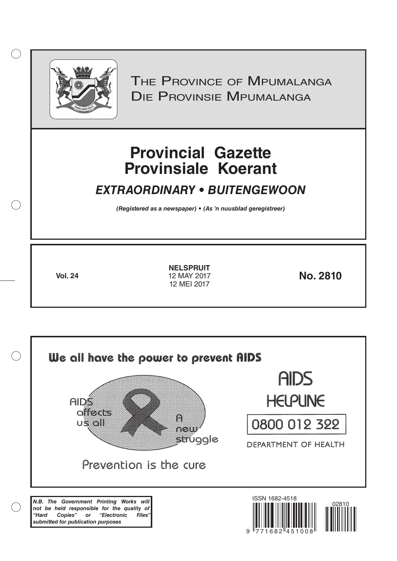

 $( )$ 

THE PROVINCE OF MPUMALANGA Die Provinsie Mpumalanga

# **Provincial Gazette Provinsiale Koerant**

# *EXTRAORDINARY • BUITENGEWOON*

*(Registered as a newspaper) • (As 'n nuusblad geregistreer)*

**Vol. 24 No. 2810 NELSPRUIT** 12 MAY 2017 12 MEI 2017

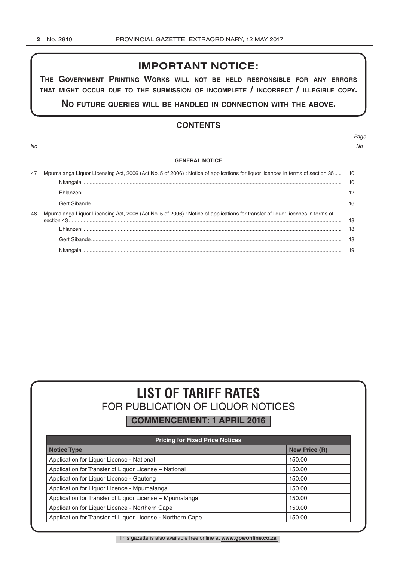## **IMPORTANT NOTICE:**

**The GovernmenT PrinTinG Works Will noT be held resPonsible for any errors ThaT miGhT occur due To The submission of incomPleTe / incorrecT / illeGible coPy.**

**no fuTure queries Will be handled in connecTion WiTh The above.**

## **CONTENTS**

*No No*

# *Page*

#### **GENERAL NOTICE**

| 47 | Mpumalanga Liquor Licensing Act, 2006 (Act No. 5 of 2006) : Notice of applications for liquor licences in terms of section 35 10 |  |
|----|----------------------------------------------------------------------------------------------------------------------------------|--|
|    |                                                                                                                                  |  |
|    |                                                                                                                                  |  |
|    |                                                                                                                                  |  |
| 48 | Mpumalanga Liquor Licensing Act, 2006 (Act No. 5 of 2006) : Notice of applications for transfer of liquor licences in terms of   |  |
|    |                                                                                                                                  |  |
|    |                                                                                                                                  |  |
|    |                                                                                                                                  |  |
|    |                                                                                                                                  |  |

# **LIST OF TARIFF RATES** FOR PUBLICATION OF LIQUOR NOTICES

**COMMENCEMENT: 1 APRIL 2016**

| <b>Pricing for Fixed Price Notices</b>                     |                      |  |  |  |
|------------------------------------------------------------|----------------------|--|--|--|
| <b>Notice Type</b>                                         | <b>New Price (R)</b> |  |  |  |
| Application for Liquor Licence - National                  | 150.00               |  |  |  |
| Application for Transfer of Liquor License - National      | 150.00               |  |  |  |
| Application for Liquor Licence - Gauteng                   | 150.00               |  |  |  |
| Application for Liquor Licence - Mpumalanga                | 150.00               |  |  |  |
| Application for Transfer of Liquor License - Mpumalanga    | 150.00               |  |  |  |
| Application for Liquor Licence - Northern Cape             | 150.00               |  |  |  |
| Application for Transfer of Liquor License - Northern Cape | 150.00               |  |  |  |

This gazette is also available free online at **www.gpwonline.co.za**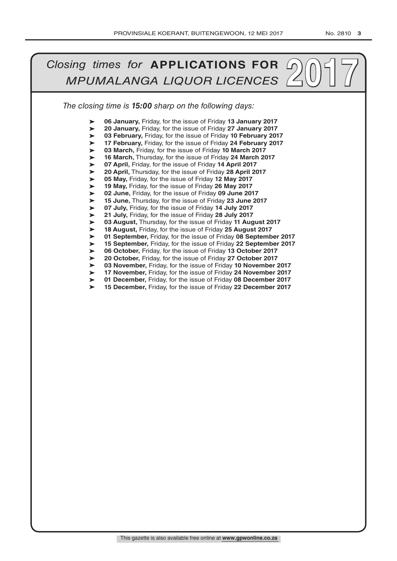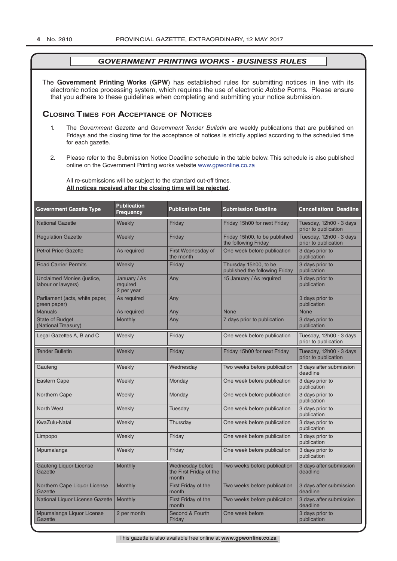The **Government Printing Works** (**GPW**) has established rules for submitting notices in line with its electronic notice processing system, which requires the use of electronic *Adobe* Forms. Please ensure that you adhere to these guidelines when completing and submitting your notice submission.

## **Closing Times for ACCepTAnCe of noTiCes**

- 1. The *Government Gazette* and *Government Tender Bulletin* are weekly publications that are published on Fridays and the closing time for the acceptance of notices is strictly applied according to the scheduled time for each gazette.
- 2. Please refer to the Submission Notice Deadline schedule in the table below. This schedule is also published online on the Government Printing works website www.gpwonline.co.za

All re-submissions will be subject to the standard cut-off times. **All notices received after the closing time will be rejected**.

| <b>Government Gazette Type</b>                          | <b>Publication</b><br><b>Frequency</b> | <b>Publication Date</b>                              | <b>Submission Deadline</b>                              | <b>Cancellations Deadline</b>                   |
|---------------------------------------------------------|----------------------------------------|------------------------------------------------------|---------------------------------------------------------|-------------------------------------------------|
| <b>National Gazette</b>                                 | Weekly                                 | Friday                                               | Friday 15h00 for next Friday                            | Tuesday, 12h00 - 3 days<br>prior to publication |
| <b>Regulation Gazette</b>                               | Weekly                                 | Friday                                               | Friday 15h00, to be published<br>the following Friday   | Tuesday, 12h00 - 3 days<br>prior to publication |
| <b>Petrol Price Gazette</b>                             | As required                            | First Wednesday of<br>the month                      | One week before publication                             | 3 days prior to<br>publication                  |
| <b>Road Carrier Permits</b>                             | Weekly                                 | Friday                                               | Thursday 15h00, to be<br>published the following Friday | 3 days prior to<br>publication                  |
| <b>Unclaimed Monies (justice,</b><br>labour or lawyers) | January / As<br>required<br>2 per year | Any                                                  | 15 January / As required                                | 3 days prior to<br>publication                  |
| Parliament (acts, white paper,<br>green paper)          | As required                            | Any                                                  |                                                         | 3 days prior to<br>publication                  |
| <b>Manuals</b>                                          | As required                            | Any                                                  | <b>None</b>                                             | <b>None</b>                                     |
| <b>State of Budget</b><br>(National Treasury)           | <b>Monthly</b>                         | Any                                                  | 7 days prior to publication                             | 3 days prior to<br>publication                  |
| Legal Gazettes A, B and C                               | Weekly                                 | Friday                                               | One week before publication                             | Tuesday, 12h00 - 3 days<br>prior to publication |
| <b>Tender Bulletin</b>                                  | Weekly                                 | Friday                                               | Friday 15h00 for next Friday                            | Tuesday, 12h00 - 3 days<br>prior to publication |
| Gauteng                                                 | Weekly                                 | Wednesday                                            | Two weeks before publication                            | 3 days after submission<br>deadline             |
| <b>Eastern Cape</b>                                     | Weekly                                 | Monday                                               | One week before publication                             | 3 days prior to<br>publication                  |
| <b>Northern Cape</b>                                    | Weekly                                 | Monday                                               | One week before publication                             | 3 days prior to<br>publication                  |
| <b>North West</b>                                       | Weekly                                 | Tuesday                                              | One week before publication                             | 3 days prior to<br>publication                  |
| KwaZulu-Natal                                           | Weekly                                 | Thursday                                             | One week before publication                             | 3 days prior to<br>publication                  |
| Limpopo                                                 | Weekly                                 | Friday                                               | One week before publication                             | 3 days prior to<br>publication                  |
| Mpumalanga                                              | Weekly                                 | Friday                                               | One week before publication                             | 3 days prior to<br>publication                  |
| <b>Gauteng Liquor License</b><br>Gazette                | Monthly                                | Wednesday before<br>the First Friday of the<br>month | Two weeks before publication                            | 3 days after submission<br>deadline             |
| Northern Cape Liquor License<br>Gazette                 | Monthly                                | First Friday of the<br>month                         | Two weeks before publication                            | 3 days after submission<br>deadline             |
| National Liquor License Gazette                         | Monthly                                | First Friday of the<br>month                         | Two weeks before publication                            | 3 days after submission<br>deadline             |
| Mpumalanga Liquor License<br>Gazette                    | 2 per month                            | Second & Fourth<br>Friday                            | One week before                                         | 3 days prior to<br>publication                  |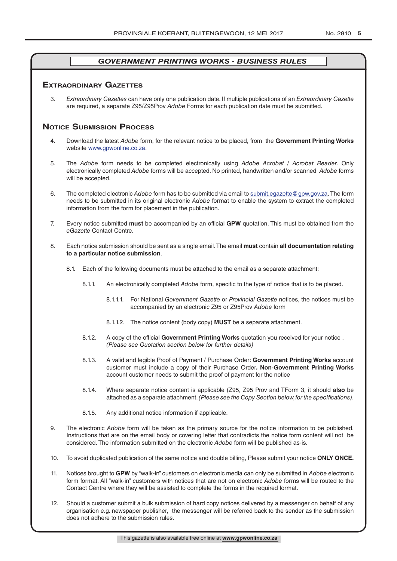## **exTrAordinAry gAzeTTes**

3. *Extraordinary Gazettes* can have only one publication date. If multiple publications of an *Extraordinary Gazette* are required, a separate Z95/Z95Prov *Adobe* Forms for each publication date must be submitted.

## **NOTICE SUBMISSION PROCESS**

- 4. Download the latest *Adobe* form, for the relevant notice to be placed, from the **Government Printing Works** website www.gpwonline.co.za.
- 5. The *Adobe* form needs to be completed electronically using *Adobe Acrobat* / *Acrobat Reader*. Only electronically completed *Adobe* forms will be accepted. No printed, handwritten and/or scanned *Adobe* forms will be accepted.
- 6. The completed electronic *Adobe* form has to be submitted via email to submit.egazette@gpw.gov.za. The form needs to be submitted in its original electronic *Adobe* format to enable the system to extract the completed information from the form for placement in the publication.
- 7. Every notice submitted **must** be accompanied by an official **GPW** quotation. This must be obtained from the *eGazette* Contact Centre.
- 8. Each notice submission should be sent as a single email. The email **must** contain **all documentation relating to a particular notice submission**.
	- 8.1. Each of the following documents must be attached to the email as a separate attachment:
		- 8.1.1. An electronically completed *Adobe* form, specific to the type of notice that is to be placed.
			- 8.1.1.1. For National *Government Gazette* or *Provincial Gazette* notices, the notices must be accompanied by an electronic Z95 or Z95Prov *Adobe* form
			- 8.1.1.2. The notice content (body copy) **MUST** be a separate attachment.
		- 8.1.2. A copy of the official **Government Printing Works** quotation you received for your notice . *(Please see Quotation section below for further details)*
		- 8.1.3. A valid and legible Proof of Payment / Purchase Order: **Government Printing Works** account customer must include a copy of their Purchase Order*.* **Non**-**Government Printing Works** account customer needs to submit the proof of payment for the notice
		- 8.1.4. Where separate notice content is applicable (Z95, Z95 Prov and TForm 3, it should **also** be attached as a separate attachment. *(Please see the Copy Section below, for the specifications)*.
		- 8.1.5. Any additional notice information if applicable.
- 9. The electronic *Adobe* form will be taken as the primary source for the notice information to be published. Instructions that are on the email body or covering letter that contradicts the notice form content will not be considered. The information submitted on the electronic *Adobe* form will be published as-is.
- 10. To avoid duplicated publication of the same notice and double billing, Please submit your notice **ONLY ONCE.**
- 11. Notices brought to **GPW** by "walk-in" customers on electronic media can only be submitted in *Adobe* electronic form format. All "walk-in" customers with notices that are not on electronic *Adobe* forms will be routed to the Contact Centre where they will be assisted to complete the forms in the required format.
- 12. Should a customer submit a bulk submission of hard copy notices delivered by a messenger on behalf of any organisation e.g. newspaper publisher, the messenger will be referred back to the sender as the submission does not adhere to the submission rules.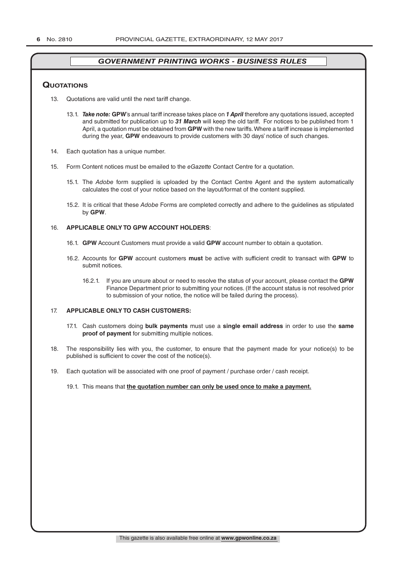#### **QuoTATions**

- 13. Quotations are valid until the next tariff change.
	- 13.1. *Take note:* **GPW**'s annual tariff increase takes place on *1 April* therefore any quotations issued, accepted and submitted for publication up to *31 March* will keep the old tariff. For notices to be published from 1 April, a quotation must be obtained from **GPW** with the new tariffs. Where a tariff increase is implemented during the year, **GPW** endeavours to provide customers with 30 days' notice of such changes.
- 14. Each quotation has a unique number.
- 15. Form Content notices must be emailed to the *eGazette* Contact Centre for a quotation.
	- 15.1. The *Adobe* form supplied is uploaded by the Contact Centre Agent and the system automatically calculates the cost of your notice based on the layout/format of the content supplied.
	- 15.2. It is critical that these *Adobe* Forms are completed correctly and adhere to the guidelines as stipulated by **GPW**.

#### 16. **APPLICABLE ONLY TO GPW ACCOUNT HOLDERS**:

- 16.1. **GPW** Account Customers must provide a valid **GPW** account number to obtain a quotation.
- 16.2. Accounts for **GPW** account customers **must** be active with sufficient credit to transact with **GPW** to submit notices.
	- 16.2.1. If you are unsure about or need to resolve the status of your account, please contact the **GPW** Finance Department prior to submitting your notices. (If the account status is not resolved prior to submission of your notice, the notice will be failed during the process).

#### 17. **APPLICABLE ONLY TO CASH CUSTOMERS:**

- 17.1. Cash customers doing **bulk payments** must use a **single email address** in order to use the **same proof of payment** for submitting multiple notices.
- 18. The responsibility lies with you, the customer, to ensure that the payment made for your notice(s) to be published is sufficient to cover the cost of the notice(s).
- 19. Each quotation will be associated with one proof of payment / purchase order / cash receipt.

#### 19.1. This means that **the quotation number can only be used once to make a payment.**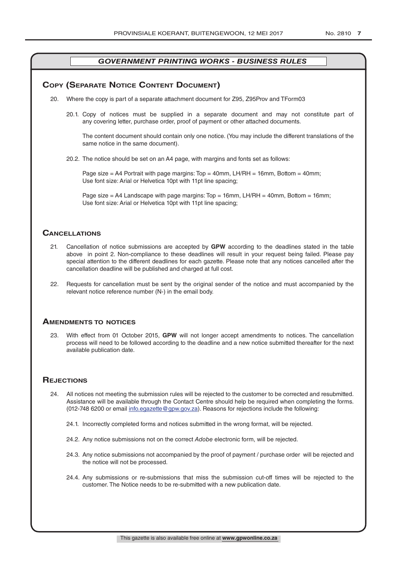## **COPY (SEPARATE NOTICE CONTENT DOCUMENT)**

- 20. Where the copy is part of a separate attachment document for Z95, Z95Prov and TForm03
	- 20.1. Copy of notices must be supplied in a separate document and may not constitute part of any covering letter, purchase order, proof of payment or other attached documents.

The content document should contain only one notice. (You may include the different translations of the same notice in the same document).

20.2. The notice should be set on an A4 page, with margins and fonts set as follows:

Page size  $=$  A4 Portrait with page margins: Top  $=$  40mm, LH/RH  $=$  16mm, Bottom  $=$  40mm; Use font size: Arial or Helvetica 10pt with 11pt line spacing;

Page size = A4 Landscape with page margins: Top = 16mm, LH/RH = 40mm, Bottom = 16mm; Use font size: Arial or Helvetica 10pt with 11pt line spacing;

## **CAnCellATions**

- 21. Cancellation of notice submissions are accepted by **GPW** according to the deadlines stated in the table above in point 2. Non-compliance to these deadlines will result in your request being failed. Please pay special attention to the different deadlines for each gazette. Please note that any notices cancelled after the cancellation deadline will be published and charged at full cost.
- 22. Requests for cancellation must be sent by the original sender of the notice and must accompanied by the relevant notice reference number (N-) in the email body.

#### **AmendmenTs To noTiCes**

23. With effect from 01 October 2015, **GPW** will not longer accept amendments to notices. The cancellation process will need to be followed according to the deadline and a new notice submitted thereafter for the next available publication date.

## **REJECTIONS**

- 24. All notices not meeting the submission rules will be rejected to the customer to be corrected and resubmitted. Assistance will be available through the Contact Centre should help be required when completing the forms. (012-748 6200 or email info.egazette@gpw.gov.za). Reasons for rejections include the following:
	- 24.1. Incorrectly completed forms and notices submitted in the wrong format, will be rejected.
	- 24.2. Any notice submissions not on the correct *Adobe* electronic form, will be rejected.
	- 24.3. Any notice submissions not accompanied by the proof of payment / purchase order will be rejected and the notice will not be processed.
	- 24.4. Any submissions or re-submissions that miss the submission cut-off times will be rejected to the customer. The Notice needs to be re-submitted with a new publication date.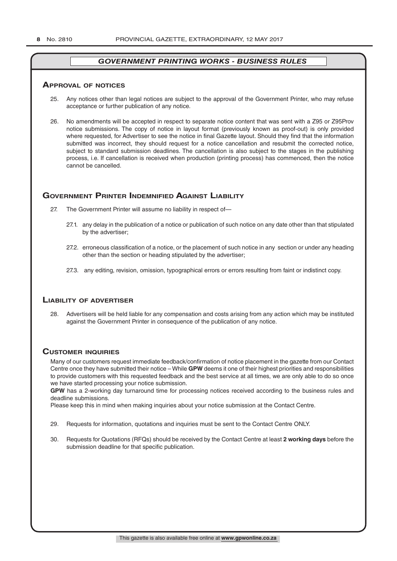#### **ApprovAl of noTiCes**

- 25. Any notices other than legal notices are subject to the approval of the Government Printer, who may refuse acceptance or further publication of any notice.
- 26. No amendments will be accepted in respect to separate notice content that was sent with a Z95 or Z95Prov notice submissions. The copy of notice in layout format (previously known as proof-out) is only provided where requested, for Advertiser to see the notice in final Gazette layout. Should they find that the information submitted was incorrect, they should request for a notice cancellation and resubmit the corrected notice, subject to standard submission deadlines. The cancellation is also subject to the stages in the publishing process, i.e. If cancellation is received when production (printing process) has commenced, then the notice cannot be cancelled.

## **governmenT prinTer indemnified AgAinsT liAbiliTy**

- 27. The Government Printer will assume no liability in respect of—
	- 27.1. any delay in the publication of a notice or publication of such notice on any date other than that stipulated by the advertiser;
	- 27.2. erroneous classification of a notice, or the placement of such notice in any section or under any heading other than the section or heading stipulated by the advertiser;
	- 27.3. any editing, revision, omission, typographical errors or errors resulting from faint or indistinct copy.

## **liAbiliTy of AdverTiser**

28. Advertisers will be held liable for any compensation and costs arising from any action which may be instituted against the Government Printer in consequence of the publication of any notice.

## **CusTomer inQuiries**

Many of our customers request immediate feedback/confirmation of notice placement in the gazette from our Contact Centre once they have submitted their notice – While **GPW** deems it one of their highest priorities and responsibilities to provide customers with this requested feedback and the best service at all times, we are only able to do so once we have started processing your notice submission.

**GPW** has a 2-working day turnaround time for processing notices received according to the business rules and deadline submissions.

Please keep this in mind when making inquiries about your notice submission at the Contact Centre.

- 29. Requests for information, quotations and inquiries must be sent to the Contact Centre ONLY.
- 30. Requests for Quotations (RFQs) should be received by the Contact Centre at least **2 working days** before the submission deadline for that specific publication.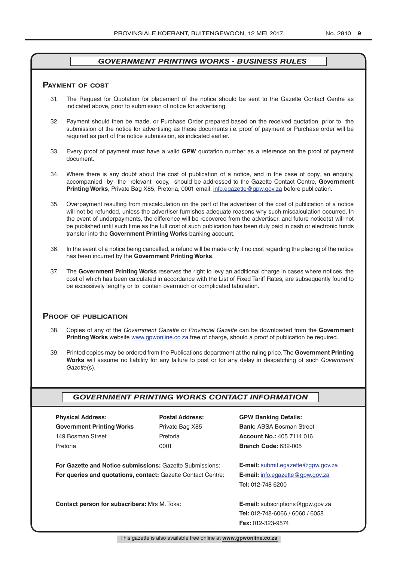#### **pAymenT of CosT**

- 31. The Request for Quotation for placement of the notice should be sent to the Gazette Contact Centre as indicated above, prior to submission of notice for advertising.
- 32. Payment should then be made, or Purchase Order prepared based on the received quotation, prior to the submission of the notice for advertising as these documents i.e. proof of payment or Purchase order will be required as part of the notice submission, as indicated earlier.
- 33. Every proof of payment must have a valid **GPW** quotation number as a reference on the proof of payment document.
- 34. Where there is any doubt about the cost of publication of a notice, and in the case of copy, an enquiry, accompanied by the relevant copy, should be addressed to the Gazette Contact Centre, **Government Printing Works**, Private Bag X85, Pretoria, 0001 email: info.egazette@gpw.gov.za before publication.
- 35. Overpayment resulting from miscalculation on the part of the advertiser of the cost of publication of a notice will not be refunded, unless the advertiser furnishes adequate reasons why such miscalculation occurred. In the event of underpayments, the difference will be recovered from the advertiser, and future notice(s) will not be published until such time as the full cost of such publication has been duly paid in cash or electronic funds transfer into the **Government Printing Works** banking account.
- 36. In the event of a notice being cancelled, a refund will be made only if no cost regarding the placing of the notice has been incurred by the **Government Printing Works**.
- 37. The **Government Printing Works** reserves the right to levy an additional charge in cases where notices, the cost of which has been calculated in accordance with the List of Fixed Tariff Rates, are subsequently found to be excessively lengthy or to contain overmuch or complicated tabulation.

#### **proof of publiCATion**

- 38. Copies of any of the *Government Gazette* or *Provincial Gazette* can be downloaded from the **Government Printing Works** website www.gpwonline.co.za free of charge, should a proof of publication be required.
- 39. Printed copies may be ordered from the Publications department at the ruling price. The **Government Printing Works** will assume no liability for any failure to post or for any delay in despatching of such *Government Gazette*(s).

## *GOVERNMENT PRINTING WORKS CONTACT INFORMATION*

| <b>Physical Address:</b>         |  |  |  |
|----------------------------------|--|--|--|
| <b>Government Printing Works</b> |  |  |  |
| 149 Bosman Street                |  |  |  |
| Pretoria                         |  |  |  |

**For Gazette and Notice submissions:** Gazette Submissions: **E-mail:** submit.egazette@gpw.gov.za **For queries and quotations, contact:** Gazette Contact Centre: **E-mail:** info.egazette@gpw.gov.za

## **Physical Address: Postal Address: GPW Banking Details:**

Private Bag X85 **Bank:** ABSA Bosman Street 149 Bosman Street Pretoria **Account No.:** 405 7114 016 Pretoria 0001 **Branch Code:** 632-005

**Tel:** 012-748 6200

**Contact person for subscribers:** Mrs M. Toka: **E-mail:** subscriptions@gpw.gov.za **Tel:** 012-748-6066 / 6060 / 6058 **Fax:** 012-323-9574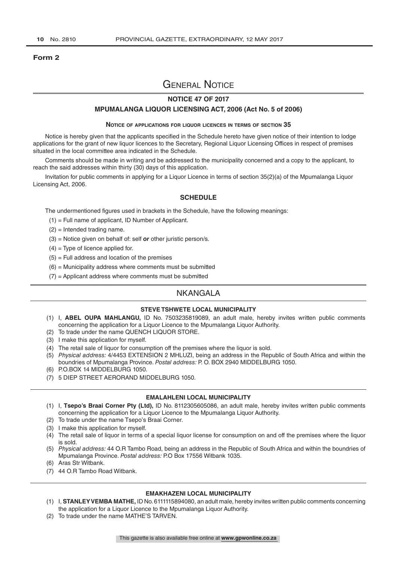#### **Form 2**

## General Notice

## **NOTICE 47 OF 2017**

#### **MPUMALANGA LIQUOR LICENSING ACT, 2006 (Act No. 5 of 2006)**

#### **Notice of applications for liquor licences in terms of section 35**

Notice is hereby given that the applicants specified in the Schedule hereto have given notice of their intention to lodge applications for the grant of new liquor licences to the Secretary, Regional Liquor Licensing Offices in respect of premises situated in the local committee area indicated in the Schedule.

Comments should be made in writing and be addressed to the municipality concerned and a copy to the applicant, to reach the said addresses within thirty (30) days of this application.

Invitation for public comments in applying for a Liquor Licence in terms of section 35(2)(a) of the Mpumalanga Liquor Licensing Act, 2006.

#### **SCHEDULE**

The undermentioned figures used in brackets in the Schedule, have the following meanings:

- (1) = Full name of applicant, ID Number of Applicant.
- (2) = Intended trading name.
- (3) = Notice given on behalf of: self *or* other juristic person/s.
- $(4)$  = Type of licence applied for.
- $(5)$  = Full address and location of the premises
- $(6)$  = Municipality address where comments must be submitted
- $(7)$  = Applicant address where comments must be submitted

## **NKANGALA**

#### **STEVE TSHWETE LOCAL MUNICIPALITY**

- (1) I, **ABEL OUPA MAHLANGU,** ID No. 7503235819089, an adult male, hereby invites written public comments concerning the application for a Liquor Licence to the Mpumalanga Liquor Authority.
- (2) To trade under the name QUENCH LIQUOR STORE.
- (3) I make this application for myself.
- (4) The retail sale of liquor for consumption off the premises where the liquor is sold.
- (5) *Physical address:* 4/4453 EXTENSION 2 MHLUZI, being an address in the Republic of South Africa and within the boundries of Mpumalanga Province. *Postal address:* P. O. BOX 2940 MIDDELBURG 1050.
- (6) P.O.BOX 14 MIDDELBURG 1050.
- (7) 5 DIEP STREET AERORAND MIDDELBURG 1050.

#### **EMALAHLENI LOCAL MUNICIPALITY**

- (1) I, **Tsepo's Braai Corner Pty (Ltd),** ID No. 8112305605086, an adult male, hereby invites written public comments concerning the application for a Liquor Licence to the Mpumalanga Liquor Authority.
- (2) To trade under the name Tsepo's Braai Corner.
- (3) I make this application for myself.
- (4) The retail sale of liquor in terms of a special liquor license for consumption on and off the premises where the liquor is sold.
- (5) *Physical address:* 44 O.R Tambo Road, being an address in the Republic of South Africa and within the boundries of Mpumalanga Province. *Postal address:* P.O Box 17556 Witbank 1035.
- (6) Aras Str Witbank.
- (7) 44 O.R Tambo Road Witbank.

#### **EMAKHAZENI LOCAL MUNICIPALITY**

- (1) I, **STANLEY VEMBA MATHE,** ID No. 6111115894080, an adult male, hereby invites written public comments concerning the application for a Liquor Licence to the Mpumalanga Liquor Authority.
- (2) To trade under the name MATHE'S TARVEN.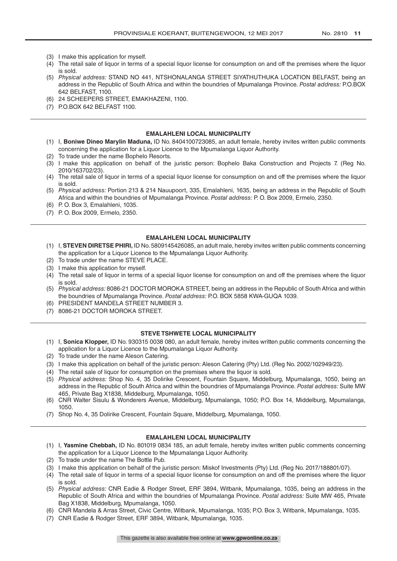- (3) I make this application for myself.
- (4) The retail sale of liquor in terms of a special liquor license for consumption on and off the premises where the liquor is sold.
- (5) *Physical address:* STAND NO 441, NTSHONALANGA STREET SIYATHUTHUKA LOCATION BELFAST, being an address in the Republic of South Africa and within the boundries of Mpumalanga Province. *Postal address:* P.O.BOX 642 BELFAST, 1100.
- (6) 24 SCHEEPERS STREET, EMAKHAZENI, 1100.
- (7) P.O.BOX 642 BELFAST 1100.

#### **EMALAHLENI LOCAL MUNICIPALITY**

- (1) I, **Boniwe Dineo Marylin Maduna,** ID No. 8404100723085, an adult female, hereby invites written public comments concerning the application for a Liquor Licence to the Mpumalanga Liquor Authority.
- (2) To trade under the name Bophelo Resorts.
- (3) I make this application on behalf of the juristic person: Bophelo Baka Construction and Projects 7. (Reg No. 2010/163702/23).
- (4) The retail sale of liquor in terms of a special liquor license for consumption on and off the premises where the liquor is sold.
- (5) *Physical address:* Portion 213 & 214 Nauupoort, 335, Emalahleni, 1635, being an address in the Republic of South Africa and within the boundries of Mpumalanga Province. *Postal address:* P. O. Box 2009, Ermelo, 2350.
- (6) P. O. Box 3, Emalahleni, 1035.
- (7) P. O. Box 2009, Ermelo, 2350.

#### **EMALAHLENI LOCAL MUNICIPALITY**

- (1) I, **STEVEN DIRETSE PHIRI,** ID No. 5809145426085, an adult male, hereby invites written public comments concerning the application for a Liquor Licence to the Mpumalanga Liquor Authority.
- (2) To trade under the name STEVE PLACE.
- (3) I make this application for myself.
- (4) The retail sale of liquor in terms of a special liquor license for consumption on and off the premises where the liquor is sold.
- (5) *Physical address:* 8086-21 DOCTOR MOROKA STREET, being an address in the Republic of South Africa and within the boundries of Mpumalanga Province. *Postal address:* P.O. BOX 5858 KWA-GUQA 1039.
- (6) PRESIDENT MANDELA STREET NUMBER 3.
- (7) 8086-21 DOCTOR MOROKA STREET.

#### **STEVE TSHWETE LOCAL MUNICIPALITY**

- (1) I, **Sonica Klopper,** ID No. 930315 0038 080, an adult female, hereby invites written public comments concerning the application for a Liquor Licence to the Mpumalanga Liquor Authority.
- (2) To trade under the name Aleson Catering.
- (3) I make this application on behalf of the juristic person: Aleson Catering (Pty) Ltd. (Reg No. 2002/102949/23).
- (4) The retail sale of liquor for consumption on the premises where the liquor is sold.
- (5) *Physical address:* Shop No. 4, 35 Dolirike Crescent, Fountain Square, Middelburg, Mpumalanga, 1050, being an address in the Republic of South Africa and within the boundries of Mpumalanga Province. *Postal address:* Suite MW 465, Private Bag X1838, Middelburg, Mpumalanga, 1050.
- (6) CNR Walter Sisulu & Wonderers Avenue, Middelburg, Mpumalanga, 1050; P.O. Box 14, Middelburg, Mpumalanga, 1050.
- (7) Shop No. 4, 35 Dolirike Crescent, Fountain Square, Middelburg, Mpumalanga, 1050.

#### **EMALAHLENI LOCAL MUNICIPALITY**

- (1) I, **Yasmine Chebbah,** ID No. 801019 0834 185, an adult female, hereby invites written public comments concerning the application for a Liquor Licence to the Mpumalanga Liquor Authority.
- (2) To trade under the name The Bottle Pub.
- (3) I make this application on behalf of the juristic person: Miskof Investments (Pty) Ltd. (Reg No. 2017/188801/07).
- (4) The retail sale of liquor in terms of a special liquor license for consumption on and off the premises where the liquor is sold.
- (5) *Physical address:* CNR Eadie & Rodger Street, ERF 3894, Witbank, Mpumalanga, 1035, being an address in the Republic of South Africa and within the boundries of Mpumalanga Province. *Postal address:* Suite MW 465, Private Bag X1838, Middelburg, Mpumalanga, 1050.
- (6) CNR Mandela & Arras Street, Civic Centre, Witbank, Mpumalanga, 1035; P.O. Box 3, Witbank, Mpumalanga, 1035.
- (7) CNR Eadie & Rodger Street, ERF 3894, Witbank, Mpumalanga, 1035.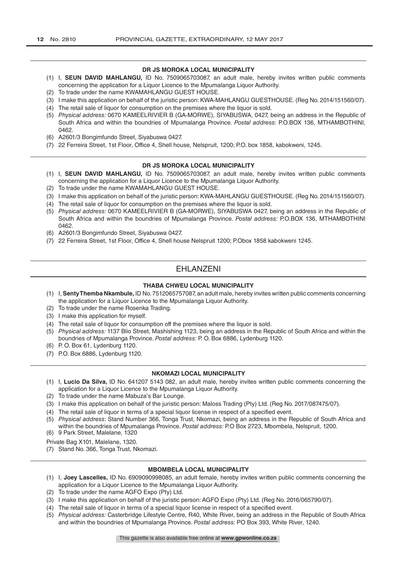#### **DR JS MOROKA LOCAL MUNICIPALITY**

- (1) I, **SEUN DAVID MAHLANGU,** ID No. 7509065703087, an adult male, hereby invites written public comments concerning the application for a Liquor Licence to the Mpumalanga Liquor Authority.
- (2) To trade under the name KWAMAHLANGU GUEST HOUSE.
- (3) I make this application on behalf of the juristic person: KWA-MAHLANGU GUESTHOUSE. (Reg No. 2014/151560/07).
- (4) The retail sale of liquor for consumption on the premises where the liquor is sold.
- (5) *Physical address:* 0670 KAMEELRIVIER B (GA-MORWE), SIYABUSWA, 0427, being an address in the Republic of South Africa and within the boundries of Mpumalanga Province. *Postal address:* P.O.BOX 136, MTHAMBOTHINI, 0462.
- (6) A2601/3 Bongimfundo Street, Siyabuswa 0427.
- (7) 22 Ferreira Street, 1st Floor, Office 4, Shell house, Nelspruit, 1200; P.O. box 1858, kabokweni, 1245.

#### **DR JS MOROKA LOCAL MUNICIPALITY**

- (1) I, **SEUN DAVID MAHLANGU,** ID No. 7509065703087, an adult male, hereby invites written public comments concerning the application for a Liquor Licence to the Mpumalanga Liquor Authority.
- (2) To trade under the name KWAMAHLANGU GUEST HOUSE.
- (3) I make this application on behalf of the juristic person: KWA-MAHLANGU GUESTHOUSE. (Reg No. 2014/151560/07).
- (4) The retail sale of liquor for consumption on the premises where the liquor is sold.
- (5) *Physical address:* 0670 KAMEELRIVIER B (GA-MORWE), SIYABUSWA 0427, being an address in the Republic of South Africa and within the boundries of Mpumalanga Province. *Postal address:* P.O.BOX 136, MTHAMBOTHINI 0462.
- (6) A2601/3 Bongimfundo Street, Siyabuswa 0427.
- (7) 22 Ferreira Street, 1st Floor, Office 4, Shell house Nelspruit 1200; P.Obox 1858 kabokweni 1245.

## EHLANZENI

#### **THABA CHWEU LOCAL MUNICIPALITY**

- (1) I, **Senty Themba Nkambule,** ID No. 7512065757087, an adult male, hereby invites written public comments concerning the application for a Liquor Licence to the Mpumalanga Liquor Authority.
- (2) To trade under the name Rosenka Trading.
- (3) I make this application for myself.
- (4) The retail sale of liquor for consumption off the premises where the liquor is sold.
- (5) *Physical address:* 1137 Blio Street, Mashishing 1123, being an address in the Republic of South Africa and within the boundries of Mpumalanga Province. *Postal address:* P. O. Box 6886, Lydenburg 1120.
- (6) P. O. Box 61, Lydenburg 1120.
- (7) P.O. Box 6886, Lydenburg 1120.

#### **NKOMAZI LOCAL MUNICIPALITY**

- (1) I, **Lucio Da Silva,** ID No. 641207 5143 082, an adult male, hereby invites written public comments concerning the application for a Liquor Licence to the Mpumalanga Liquor Authority.
- (2) To trade under the name Mabuza's Bar Lounge.
- (3) I make this application on behalf of the juristic person: Maloss Trading (Pty) Ltd. (Reg No. 2017/087475/07).
- (4) The retail sale of liquor in terms of a special liquor license in respect of a specified event.
- (5) *Physical address:* Stand Number 366, Tonga Trust, Nkomazi, being an address in the Republic of South Africa and within the boundries of Mpumalanga Province. *Postal address:* P.O Box 2723, Mbombela, Nelspruit, 1200. (6) 9 Park Street, Malelane, 1320
- Private Bag X101, Malelane, 1320.
- (7) Stand No. 366, Tonga Trust, Nkomazi.

#### **MBOMBELA LOCAL MUNICIPALITY**

- (1) I, **Joey Lascelles,** ID No. 6909090998085, an adult female, hereby invites written public comments concerning the application for a Liquor Licence to the Mpumalanga Liquor Authority.
- (2) To trade under the name AGFO Expo (Pty) Ltd.
- (3) I make this application on behalf of the juristic person: AGFO Expo (Pty) Ltd. (Reg No. 2016/065790/07).
- (4) The retail sale of liquor in terms of a special liquor license in respect of a specified event.
- (5) *Physical address:* Casterbridge Lifestyle Centre, R40, White River, being an address in the Republic of South Africa and within the boundries of Mpumalanga Province. *Postal address:* PO Box 393, White River, 1240.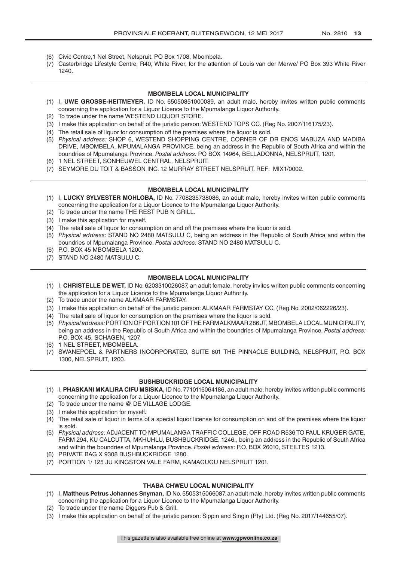- (6) Civic Centre,1 Nel Street, Nelspruit. PO Box 1708, Mbombela.
- (7) Casterbridge Lifestyle Centre, R40, White River, for the attention of Louis van der Merwe/ PO Box 393 White River 1240.

#### **MBOMBELA LOCAL MUNICIPALITY**

- (1) I, **UWE GROSSE-HEITMEYER,** ID No. 65050851000089, an adult male, hereby invites written public comments concerning the application for a Liquor Licence to the Mpumalanga Liquor Authority.
- (2) To trade under the name WESTEND LIQUOR STORE.
- (3) I make this application on behalf of the juristic person: WESTEND TOPS CC. (Reg No. 2007/116175/23).
- (4) The retail sale of liquor for consumption off the premises where the liquor is sold.
- (5) *Physical address:* SHOP 6, WESTEND SHOPPING CENTRE, CORNER OF DR ENOS MABUZA AND MADIBA DRIVE, MBOMBELA, MPUMALANGA PROVINCE, being an address in the Republic of South Africa and within the boundries of Mpumalanga Province. *Postal address:* PO BOX 14964, BELLADONNA, NELSPRUIT, 1201.
- (6) 1 NEL STREET, SONHEUWEL CENTRAL, NELSPRUIT.
- (7) SEYMORE DU TOIT & BASSON INC. 12 MURRAY STREET NELSPRUIT. REF: MIX1/0002.

#### **MBOMBELA LOCAL MUNICIPALITY**

- (1) I, **LUCKY SYLVESTER MOHLOBA,** ID No. 7708235738086, an adult male, hereby invites written public comments concerning the application for a Liquor Licence to the Mpumalanga Liquor Authority.
- (2) To trade under the name THE REST PUB N GRILL.
- (3) I make this application for myself.
- (4) The retail sale of liquor for consumption on and off the premises where the liquor is sold.
- (5) *Physical address:* STAND NO 2480 MATSULU C, being an address in the Republic of South Africa and within the boundries of Mpumalanga Province. *Postal address:* STAND NO 2480 MATSULU C.
- (6) P.O. BOX 45 MBOMBELA 1200.
- (7) STAND NO 2480 MATSULU C.

#### **MBOMBELA LOCAL MUNICIPALITY**

- (1) I, **CHRISTELLE DE WET,** ID No. 6203310026087, an adult female, hereby invites written public comments concerning the application for a Liquor Licence to the Mpumalanga Liquor Authority.
- (2) To trade under the name ALKMAAR FARMSTAY.
- (3) I make this application on behalf of the juristic person: ALKMAAR FARMSTAY CC. (Reg No. 2002/062226/23).
- (4) The retail sale of liquor for consumption on the premises where the liquor is sold.
- (5) *Physical address:* PORTION OF PORTION 101 OF THE FARM ALKMAAR 286 JT, MBOMBELA LOCAL MUNICIPALITY, being an address in the Republic of South Africa and within the boundries of Mpumalanga Province. *Postal address:*  P.O. BOX 45, SCHAGEN, 1207.
- (6) 1 NEL STREET, MBOMBELA.
- (7) SWANEPOEL & PARTNERS INCORPORATED, SUITE 601 THE PINNACLE BUILDING, NELSPRUIT, P.O. BOX 1300, NELSPRUIT, 1200.

#### **BUSHBUCKRIDGE LOCAL MUNICIPALITY**

- (1) I, **PHASKANI MKALIRA CIFU MSISKA,** ID No. 7710116064186, an adult male, hereby invites written public comments concerning the application for a Liquor Licence to the Mpumalanga Liquor Authority.
- (2) To trade under the name @ DE VILLAGE LODGE.
- (3) I make this application for myself.
- (4) The retail sale of liquor in terms of a special liquor license for consumption on and off the premises where the liquor is sold.
- (5) *Physical address:* ADJACENT TO MPUMALANGA TRAFFIC COLLEGE, OFF ROAD R536 TO PAUL KRUGER GATE, FARM 294, KU CALCUTTA, MKHUHLU, BUSHBUCKRIDGE, 1246., being an address in the Republic of South Africa and within the boundries of Mpumalanga Province. *Postal address:* P.O. BOX 26010, STEILTES 1213.
- (6) PRIVATE BAG X 9308 BUSHBUCKRIDGE 1280.
- (7) PORTION 1/ 125 JU KINGSTON VALE FARM, KAMAGUGU NELSPRUIT 1201.

#### **THABA CHWEU LOCAL MUNICIPALITY**

- (1) I, **Mattheus Petrus Johannes Snyman,** ID No. 5505315066087, an adult male, hereby invites written public comments concerning the application for a Liquor Licence to the Mpumalanga Liquor Authority.
- (2) To trade under the name Diggers Pub & Grill.
- (3) I make this application on behalf of the juristic person: Sippin and Singin (Pty) Ltd. (Reg No. 2017/144655/07).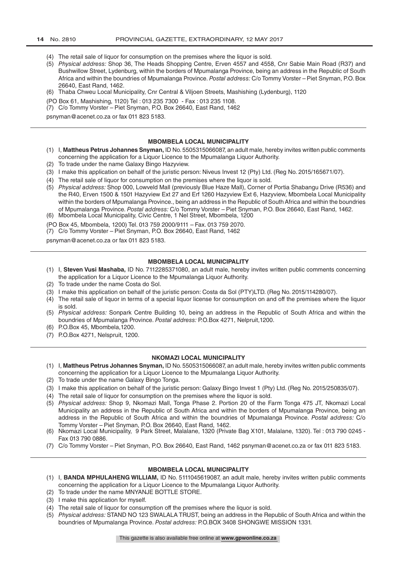- (4) The retail sale of liquor for consumption on the premises where the liquor is sold.
- (5) *Physical address:* Shop 36, The Heads Shopping Centre, Erven 4557 and 4558, Cnr Sabie Main Road (R37) and Bushwillow Street, Lydenburg, within the borders of Mpumalanga Province, being an address in the Republic of South Africa and within the boundries of Mpumalanga Province. *Postal address:* C/o Tommy Vorster – Piet Snyman, P.O. Box 26640, East Rand, 1462.
- (6) Thaba Chweu Local Municipality, Cnr Central & Viljoen Streets, Mashishing (Lydenburg), 1120
- (PO Box 61, Mashishing, 1120) Tel : 013 235 7300 Fax : 013 235 1108.
- (7) C/o Tommy Vorster Piet Snyman, P.O. Box 26640, East Rand, 1462

psnyman@acenet.co.za or fax 011 823 5183.

#### **MBOMBELA LOCAL MUNICIPALITY**

- (1) I, **Mattheus Petrus Johannes Snyman,** ID No. 5505315066087, an adult male, hereby invites written public comments concerning the application for a Liquor Licence to the Mpumalanga Liquor Authority.
- (2) To trade under the name Galaxy Bingo Hazyview.
- (3) I make this application on behalf of the juristic person: Niveus Invest 12 (Pty) Ltd. (Reg No. 2015/165671/07).
- (4) The retail sale of liquor for consumption on the premises where the liquor is sold.
- (5) *Physical address:* Shop 000, Lowveld Mall (previously Blue Haze Mall), Corner of Portia Shabangu Drive (R536) and the R40, Erven 1500 & 1501 Hazyview Ext 27 and Erf 1260 Hazyview Ext 6, Hazyview, Mbombela Local Municipality within the borders of Mpumalanga Province., being an address in the Republic of South Africa and within the boundries of Mpumalanga Province. *Postal address:* C/o Tommy Vorster – Piet Snyman, P.O. Box 26640, East Rand, 1462.
- (6) Mbombela Local Municipality, Civic Centre, 1 Nel Street, Mbombela, 1200

(PO Box 45, Mbombela, 1200) Tel. 013 759 2000/9111 – Fax. 013 759 2070.

(7) C/o Tommy Vorster – Piet Snyman, P.O. Box 26640, East Rand, 1462

psnyman@acenet.co.za or fax 011 823 5183.

#### **MBOMBELA LOCAL MUNICIPALITY**

- (1) I, **Steven Vusi Mashaba,** ID No. 7112285371080, an adult male, hereby invites written public comments concerning the application for a Liquor Licence to the Mpumalanga Liquor Authority.
- (2) To trade under the name Costa do Sol.
- (3) I make this application on behalf of the juristic person: Costa da Sol (PTY)LTD. (Reg No. 2015/114280/07).
- (4) The retail sale of liquor in terms of a special liquor license for consumption on and off the premises where the liquor is sold.
- (5) *Physical address:* Sonpark Centre Building 10, being an address in the Republic of South Africa and within the boundries of Mpumalanga Province. *Postal address:* P.O.Box 4271, Nelpruit,1200.
- (6) P.O.Box 45, Mbombela,1200.
- (7) P.O.Box 4271, Nelspruit, 1200.

#### **NKOMAZI LOCAL MUNICIPALITY**

- (1) I, **Mattheus Petrus Johannes Snyman,** ID No. 5505315066087, an adult male, hereby invites written public comments concerning the application for a Liquor Licence to the Mpumalanga Liquor Authority.
- (2) To trade under the name Galaxy Bingo Tonga.
- (3) I make this application on behalf of the juristic person: Galaxy Bingo Invest 1 (Pty) Ltd. (Reg No. 2015/250835/07).
- (4) The retail sale of liquor for consumption on the premises where the liquor is sold.
- (5) *Physical address:* Shop 9, Nkomazi Mall, Tonga Phase 2. Portion 20 of the Farm Tonga 475 JT, Nkomazi Local Municipality an address in the Republic of South Africa and within the borders of Mpumalanga Province, being an address in the Republic of South Africa and within the boundries of Mpumalanga Province. *Postal address:* C/o Tommy Vorster – Piet Snyman, P.O. Box 26640, East Rand, 1462.
- (6) Nkomazi Local Municipality, 9 Park Street, Malalane, 1320 (Private Bag X101, Malalane, 1320). Tel : 013 790 0245 Fax 013 790 0886.
- (7) C/o Tommy Vorster Piet Snyman, P.O. Box 26640, East Rand, 1462 psnyman@acenet.co.za or fax 011 823 5183.

#### **MBOMBELA LOCAL MUNICIPALITY**

- (1) I, **BANDA MPHULAHENG WILLIAM,** ID No. 5111045619087, an adult male, hereby invites written public comments concerning the application for a Liquor Licence to the Mpumalanga Liquor Authority.
- (2) To trade under the name MNYANJE BOTTLE STORE.
- (3) I make this application for myself.
- (4) The retail sale of liquor for consumption off the premises where the liquor is sold.
- (5) *Physical address:* STAND NO 123 SWALALA TRUST, being an address in the Republic of South Africa and within the boundries of Mpumalanga Province. *Postal address:* P.O.BOX 3408 SHONGWE MISSION 1331.

This gazette is also available free online at **www.gpwonline.co.za**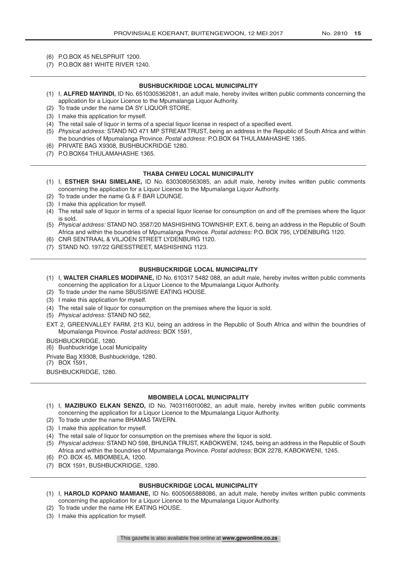- (6) P.O.BOX 45 NELSPRUIT 1200.
- (7) P.O.BOX 881 WHITE RIVER 1240.

#### **BUSHBUCKRIDGE LOCAL MUNICIPALITY**

- (1) I, **ALFRED MAYINDI,** ID No. 6510305362081, an adult male, hereby invites written public comments concerning the application for a Liquor Licence to the Mpumalanga Liquor Authority.
- (2) To trade under the name DA SY LIQUOR STORE.
- (3) I make this application for myself.
- (4) The retail sale of liquor in terms of a special liquor license in respect of a specified event.
- (5) *Physical address:* STAND NO 471 MP STREAM TRUST, being an address in the Republic of South Africa and within the boundries of Mpumalanga Province. *Postal address:* P.O.BOX 64 THULAMAHASHE 1365.
- (6) PRIVATE BAG X9308, BUSHBUCKRIDGE 1280.
- (7) P.O.BOX64 THULAMAHASHE 1365.

#### **THABA CHWEU LOCAL MUNICIPALITY**

- (1) I, **ESTHER SHAI SIMELANE,** ID No. 6303080563085, an adult male, hereby invites written public comments concerning the application for a Liquor Licence to the Mpumalanga Liquor Authority.
- (2) To trade under the name G & F BAR LOUNGE.
- (3) I make this application for myself.
- (4) The retail sale of liquor in terms of a special liquor license for consumption on and off the premises where the liquor is sold.
- (5) *Physical address:* STAND NO. 3587/20 MASHISHING TOWNSHIP, EXT. 6, being an address in the Republic of South Africa and within the boundries of Mpumalanga Province. *Postal address:* P.O. BOX 795, LYDENBURG 1120.
- (6) CNR SENTRAAL & VILJOEN STREET LYDENBURG 1120.
- (7) STAND NO. 197/22 GRESSTREET, MASHISHING 1123.

#### **BUSHBUCKRIDGE LOCAL MUNICIPALITY**

- (1) I, **WALTER CHARLES MODIPANE,** ID No. 610317 5482 088, an adult male, hereby invites written public comments concerning the application for a Liquor Licence to the Mpumalanga Liquor Authority.
- (2) To trade under the name SBUSISIWE EATING HOUSE.
- (3) I make this application for myself.
- (4) The retail sale of liquor for consumption on the premises where the liquor is sold.
- (5) *Physical address:* STAND NO 562,
- EXT 2, GREENVALLEY FARM, 213 KU, being an address in the Republic of South Africa and within the boundries of Mpumalanga Province. *Postal address:* BOX 1591,

#### BUSHBUCKRIDGE, 1280.

(6) Bushbuckridge Local Municipality

Private Bag X9308, Bushbuckridge, 1280.

(7) BOX 1591,

BUSHBUCKRIDGE, 1280.

#### **MBOMBELA LOCAL MUNICIPALITY**

- (1) I, **MAZIBUKO ELKAN SENZO,** ID No. 7403116010082, an adult male, hereby invites written public comments concerning the application for a Liquor Licence to the Mpumalanga Liquor Authority.
- (2) To trade under the name BHAMAS TAVERN.
- (3) I make this application for myself.
- (4) The retail sale of liquor for consumption on the premises where the liquor is sold.
- (5) *Physical address:* STAND NO 598, BHUNGA TRUST, KABOKWENI, 1245, being an address in the Republic of South Africa and within the boundries of Mpumalanga Province. *Postal address:* BOX 2278, KABOKWENI, 1245.
- (6) P.O. BOX 45, MBOMBELA, 1200.
- (7) BOX 1591, BUSHBUCKRIDGE, 1280.

#### **BUSHBUCKRIDGE LOCAL MUNICIPALITY**

- (1) I, **HAROLD KOPANO MAMIANE,** ID No. 6005065888086, an adult male, hereby invites written public comments concerning the application for a Liquor Licence to the Mpumalanga Liquor Authority.
- (2) To trade under the name HK EATING HOUSE.
- (3) I make this application for myself.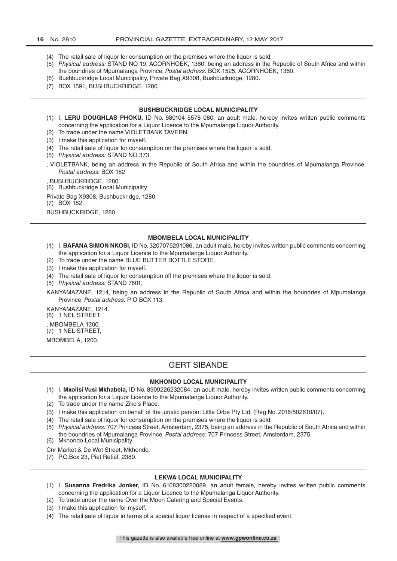- (4) The retail sale of liquor for consumption on the premises where the liquor is sold.
- (5) *Physical address:* STAND NO 19, ACORNHOEK, 1360, being an address in the Republic of South Africa and within the boundries of Mpumalanga Province. *Postal address:* BOX 1525, ACORNHOEK, 1360.
- (6) Bushbuckridge Local Municipality, Private Bag X9308, Bushbuckridge, 1280.
- (7) BOX 1591, BUSHBUCKRIDGE, 1280.

#### **BUSHBUCKRIDGE LOCAL MUNICIPALITY**

- (1) I, **LERU DOUGHLAS PHOKU,** ID No. 680104 5578 080, an adult male, hereby invites written public comments concerning the application for a Liquor Licence to the Mpumalanga Liquor Authority.
- (2) To trade under the name VIOLETBANK TAVERN.
- (3) I make this application for myself.
- (4) The retail sale of liquor for consumption on the premises where the liquor is sold.
- (5) *Physical address:* STAND NO 373
- , VIOLETBANK, being an address in the Republic of South Africa and within the boundries of Mpumalanga Province. *Postal address:* BOX 182

, BUSHBUCKRIDGE, 1280.

(6) Bushbuckridge Local Municipality

Private Bag X9308, Bushbuckridge, 1280.

(7) BOX 182,

BUSHBUCKRIDGE, 1280.

#### **MBOMBELA LOCAL MUNICIPALITY**

- (1) I, **BAFANA SIMON NKOSI,** ID No. 3207075291086, an adult male, hereby invites written public comments concerning the application for a Liquor Licence to the Mpumalanga Liquor Authority.
- (2) To trade under the name BLUE BUTTER BOTTLE STORE.
- (3) I make this application for myself.
- (4) The retail sale of liquor for consumption off the premises where the liquor is sold.
- (5) *Physical address:* STAND 7601,

KANYAMAZANE, 1214, being an address in the Republic of South Africa and within the boundries of Mpumalanga Province. *Postal address:* P O BOX 113,

KANYAMAZANE, 1214. (6) 1 NEL STREET , MBOMBELA 1200.

(7) 1 NEL STREET,

MBOMBELA, 1200.

## GERT SIBANDE

#### **MKHONDO LOCAL MUNICIPALITY**

- (1) I, **Mxolisi Vusi Mkhabela,** ID No. 8909226232084, an adult male, hereby invites written public comments concerning the application for a Liquor Licence to the Mpumalanga Liquor Authority.
- (2) To trade under the name Ziko's Place.
- (3) I make this application on behalf of the juristic person: Little Orbe Pty Ltd. (Reg No. 2016/502610/07).
- (4) The retail sale of liquor for consumption on the premises where the liquor is sold.
- (5) *Physical address:* 707 Princess Street, Amsterdam, 2375, being an address in the Republic of South Africa and within the boundries of Mpumalanga Province. *Postal address:* 707 Princess Street, Amsterdam, 2375.
- (6) Mkhondo Local Municipality

Cnr Market & De Wet Street, Mkhondo.

(7) P.O.Box 23, Piet Retief, 2380.

#### **LEKWA LOCAL MUNICIPALITY**

- (1) I, **Susanna Fredrika Jonker,** ID No. 6108300220089, an adult female, hereby invites written public comments concerning the application for a Liquor Licence to the Mpumalanga Liquor Authority.
- (2) To trade under the name Over the Moon Catering and Special Events.
- (3) I make this application for myself.
- (4) The retail sale of liquor in terms of a special liquor license in respect of a specified event.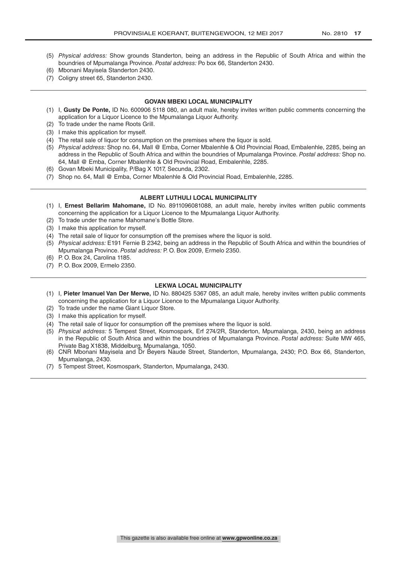- (5) *Physical address:* Show grounds Standerton, being an address in the Republic of South Africa and within the boundries of Mpumalanga Province. *Postal address:* Po box 66, Standerton 2430.
- (6) Mbonani Mayisela Standerton 2430.
- (7) Coligny street 65, Standerton 2430.

#### **GOVAN MBEKI LOCAL MUNICIPALITY**

- (1) I, **Gusty De Ponte,** ID No. 600906 5118 080, an adult male, hereby invites written public comments concerning the application for a Liquor Licence to the Mpumalanga Liquor Authority.
- (2) To trade under the name Roots Grill.
- (3) I make this application for myself.
- (4) The retail sale of liquor for consumption on the premises where the liquor is sold.
- (5) *Physical address:* Shop no. 64, Mall @ Emba, Corner Mbalenhle & Old Provincial Road, Embalenhle, 2285, being an address in the Republic of South Africa and within the boundries of Mpumalanga Province. *Postal address:* Shop no. 64, Mall @ Emba, Corner Mbalenhle & Old Provincial Road, Embalenhle, 2285.
- (6) Govan Mbeki Municipality, P/Bag X 1017, Secunda, 2302.
- (7) Shop no. 64, Mall @ Emba, Corner Mbalenhle & Old Provincial Road, Embalenhle, 2285.

#### **ALBERT LUTHULI LOCAL MUNICIPALITY**

- (1) I, **Ernest Bellarim Mahomane,** ID No. 8911096081088, an adult male, hereby invites written public comments concerning the application for a Liquor Licence to the Mpumalanga Liquor Authority.
- (2) To trade under the name Mahomane's Bottle Store.
- (3) I make this application for myself.
- (4) The retail sale of liquor for consumption off the premises where the liquor is sold.
- (5) *Physical address:* E191 Fernie B 2342, being an address in the Republic of South Africa and within the boundries of Mpumalanga Province. *Postal address:* P. O. Box 2009, Ermelo 2350.
- (6) P. O. Box 24, Carolina 1185.
- (7) P. O. Box 2009, Ermelo 2350.

#### **LEKWA LOCAL MUNICIPALITY**

- (1) I, **Pieter Imanuel Van Der Merwe,** ID No. 880425 5367 085, an adult male, hereby invites written public comments concerning the application for a Liquor Licence to the Mpumalanga Liquor Authority.
- (2) To trade under the name Giant Liquor Store.
- (3) I make this application for myself.
- (4) The retail sale of liquor for consumption off the premises where the liquor is sold.
- (5) *Physical address:* 5 Tempest Street, Kosmospark, Erf 274/2R, Standerton, Mpumalanga, 2430, being an address in the Republic of South Africa and within the boundries of Mpumalanga Province. *Postal address:* Suite MW 465, Private Bag X1838, Middelburg, Mpumalanga, 1050.
- (6) CNR Mbonani Mayisela and Dr Beyers Naude Street, Standerton, Mpumalanga, 2430; P.O. Box 66, Standerton, Mpumalanga, 2430.
- (7) 5 Tempest Street, Kosmospark, Standerton, Mpumalanga, 2430.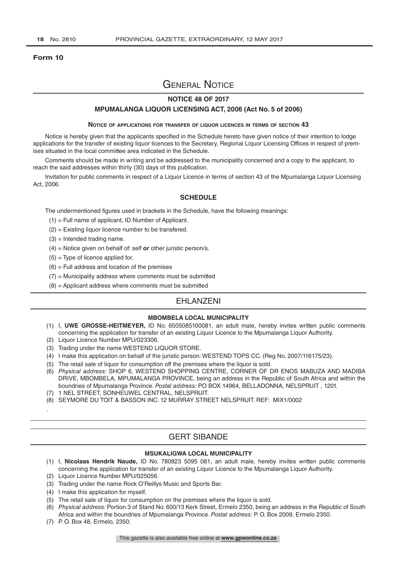#### **Form 10**

## General Notice

### **NOTICE 48 OF 2017**

#### **MPUMALANGA LIQUOR LICENSING ACT, 2006 (Act No. 5 of 2006)**

#### **Notice of applications for transfer of liquor licences in terms of section 43**

Notice is hereby given that the applicants specified in the Schedule hereto have given notice of their intention to lodge applications for the transfer of existing liquor licences to the Secretary, Regional Liquor Licensing Offices in respect of premises situated in the local committee area indicated in the Schedule.

Comments should be made in writing and be addressed to the municipality concerned and a copy to the applicant, to reach the said addresses within thirty (30) days of this publication.

Invitation for public comments in respect of a Liquor Licence in terms of section 43 of the Mpumalanga Liquor Licensing Act, 2006.

#### **SCHEDULE**

The undermentioned figures used in brackets in the Schedule, have the following meanings:

- (1) = Full name of applicant, ID Number of Applicant.
- (2) = Existing liquor licence number to be transfered.
- $(3)$  = Intended trading name.
- (4) = Notice given on behalf of: self *or* other juristic person/s.
- $(5)$  = Type of licence applied for.
- $(6)$  = Full address and location of the premises
- $(7)$  = Municipality address where comments must be submitted
- (8) = Applicant address where comments must be submitted

## EHLANZENI

#### **MBOMBELA LOCAL MUNICIPALITY**

- (1) I, **UWE GROSSE-HEITMEYER,** ID No. 6505085100081, an adult male, hereby invites written public comments concerning the application for transfer of an existing Liquor Licence to the Mpumalanga Liquor Authority.
- (2) Liquor Licence Number MPU/023306.
- (3) Trading under the name WESTEND LIQUOR STORE.
- (4) I make this application on behalf of the juristic person: WESTEND TOPS CC. (Reg No. 2007/116175/23).
- (5) The retail sale of liquor for consumption off the premises where the liquor is sold.
- (6) *Physical address:* SHOP 6, WESTEND SHOPPING CENTRE, CORNER OF DR ENOS MABUZA AND MADIBA DRIVE, MBOMBELA, MPUMALANGA PROVINCE, being an address in the Republic of South Africa and within the boundries of Mpumalanga Province. *Postal address:* PO BOX 14964, BELLADONNA, NELSPRUIT , 1201.
- (7) 1 NEL STREET, SONHEUWEL CENTRAL, NELSPRUIT.
- (8) SEYMORE DU TOIT & BASSON INC. 12 MURRAY STREET NELSPRUIT. REF: MIX1/0002

## GERT SIBANDE

#### **MSUKALIGWA LOCAL MUNICIPALITY**

- (1) I, **Nicolaas Hendrik Naude,** ID No. 780823 5095 081, an adult male, hereby invites written public comments concerning the application for transfer of an existing Liquor Licence to the Mpumalanga Liquor Authority.
- (2) Liquor Licence Number MPU/025056.
- (3) Trading under the name Rock O'Reillys Music and Sports Bar.
- (4) I make this application for myself.
- (5) The retail sale of liquor for consumption on the premises where the liquor is sold.
- (6) *Physical address:* Portion 3 of Stand No. 600/13 Kerk Street, Ermelo 2350, being an address in the Republic of South Africa and within the boundries of Mpumalanga Province. *Postal address:* P. O. Box 2009, Ermelo 2350.
- (7) P. O. Box 48, Ermelo, 2350.

.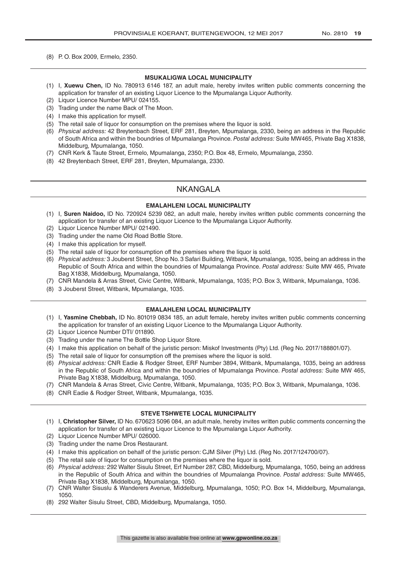(8) P. O. Box 2009, Ermelo, 2350.

#### **MSUKALIGWA LOCAL MUNICIPALITY**

- (1) I, **Xuewu Chen,** ID No. 780913 6146 187, an adult male, hereby invites written public comments concerning the application for transfer of an existing Liquor Licence to the Mpumalanga Liquor Authority.
- (2) Liquor Licence Number MPU/ 024155.
- (3) Trading under the name Back of The Moon.
- (4) I make this application for myself.
- (5) The retail sale of liquor for consumption on the premises where the liquor is sold.
- (6) *Physical address:* 42 Breytenbach Street, ERF 281, Breyten, Mpumalanga, 2330, being an address in the Republic of South Africa and within the boundries of Mpumalanga Province. *Postal address:* Suite MW465, Private Bag X1838, Middelburg, Mpumalanga, 1050.
- (7) CNR Kerk & Taute Street, Ermelo, Mpumalanga, 2350; P.O. Box 48, Ermelo, Mpumalanga, 2350.
- (8) 42 Breytenbach Street, ERF 281, Breyten, Mpumalanga, 2330.

## NKANGALA

#### **EMALAHLENI LOCAL MUNICIPALITY**

- (1) I, **Suren Naidoo,** ID No. 720924 5239 082, an adult male, hereby invites written public comments concerning the application for transfer of an existing Liquor Licence to the Mpumalanga Liquor Authority.
- (2) Liquor Licence Number MPU/ 021490.
- (3) Trading under the name Old Road Bottle Store.
- (4) I make this application for myself.
- (5) The retail sale of liquor for consumption off the premises where the liquor is sold.
- (6) *Physical address:* 3 Jouberst Street, Shop No. 3 Safari Building, Witbank, Mpumalanga, 1035, being an address in the Republic of South Africa and within the boundries of Mpumalanga Province. *Postal address:* Suite MW 465, Private Bag X1838, Middelburg, Mpumalanga, 1050.
- (7) CNR Mandela & Arras Street, Civic Centre, Witbank, Mpumalanga, 1035; P.O. Box 3, Witbank, Mpumalanga, 1036.
- (8) 3 Jouberst Street, Witbank, Mpumalanga, 1035.

#### **EMALAHLENI LOCAL MUNICIPALITY**

- (1) I, **Yasmine Chebbah,** ID No. 801019 0834 185, an adult female, hereby invites written public comments concerning the application for transfer of an existing Liquor Licence to the Mpumalanga Liquor Authority.
- (2) Liquor Licence Number DTI/ 011890.
- (3) Trading under the name The Bottle Shop Liquor Store.
- (4) I make this application on behalf of the juristic person: Miskof Investments (Pty) Ltd. (Reg No. 2017/188801/07).
- (5) The retail sale of liquor for consumption off the premises where the liquor is sold.
- (6) *Physical address:* CNR Eadie & Rodger Street, ERF Number 3894, Witbank, Mpumalanga, 1035, being an address in the Republic of South Africa and within the boundries of Mpumalanga Province. *Postal address:* Suite MW 465, Private Bag X1838, Middelburg, Mpumalanga, 1050.
- (7) CNR Mandela & Arras Street, Civic Centre, Witbank, Mpumalanga, 1035; P.O. Box 3, Witbank, Mpumalanga, 1036.
- (8) CNR Eadie & Rodger Street, Witbank, Mpumalanga, 1035.

#### **STEVE TSHWETE LOCAL MUNICIPALITY**

- (1) I, **Christopher Silver,** ID No. 670623 5096 084, an adult male, hereby invites written public comments concerning the application for transfer of an existing Liquor Licence to the Mpumalanga Liquor Authority.
- (2) Liquor Licence Number MPU/ 026000.
- (3) Trading under the name Dros Restaurant.
- (4) I make this application on behalf of the juristic person: CJM Silver (Pty) Ltd. (Reg No. 2017/124700/07).
- (5) The retail sale of liquor for consumption on the premises where the liquor is sold.
- (6) *Physical address:* 292 Walter Sisulu Street, Erf Number 287, CBD, Middelburg, Mpumalanga, 1050, being an address in the Republic of South Africa and within the boundries of Mpumalanga Province. *Postal address:* Suite MW465, Private Bag X1838, Middelburg, Mpumalanga, 1050.
- (7) CNR Walter Sisuslu & Wanderers Avenue, Middelburg, Mpumalanga, 1050; P.O. Box 14, Middelburg, Mpumalanga, 1050.
- (8) 292 Walter Sisulu Street, CBD, Middelburg, Mpumalanga, 1050.